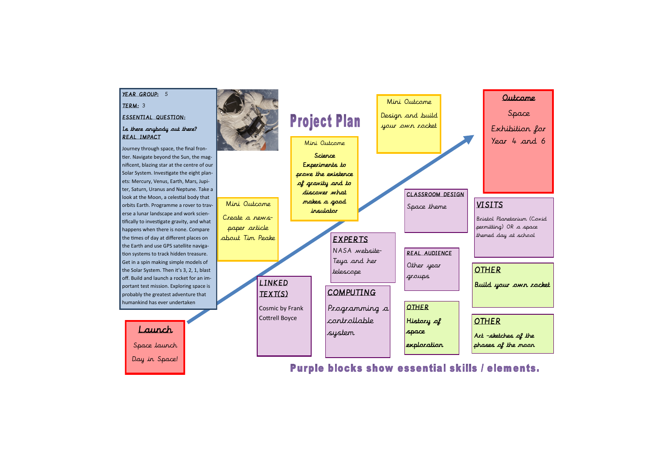## Outcome

Space Exhibition for Year 4 and 6



Purple blocks show essential skills / elements.

Bristol Planetarium (Covid permitting) OR a space themed day at school

Build your own rocket

Art –sketches of the phases of the moon